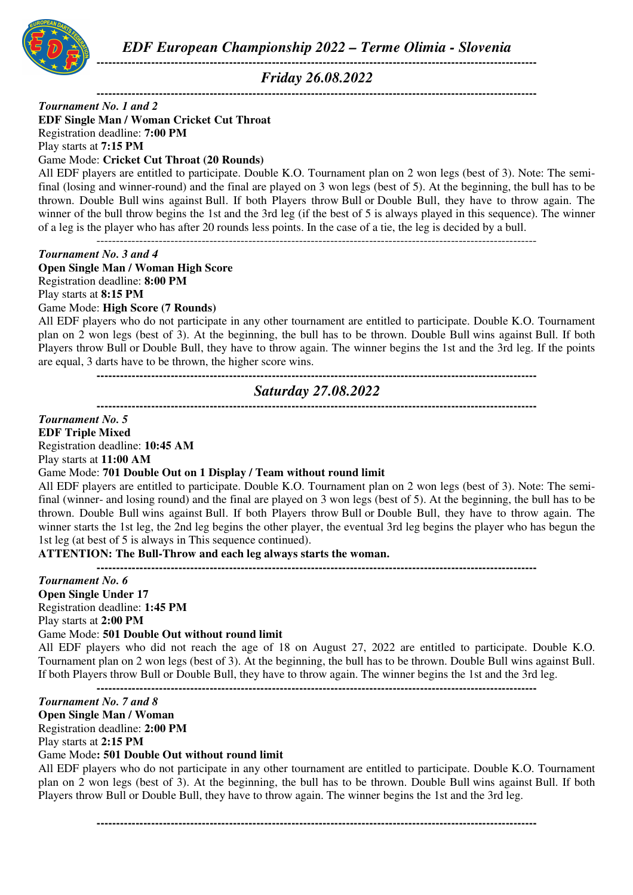

*Friday 26.08.2022* 

**-----------------------------------------------------------------------------------------------------------------** 

#### **-----------------------------------------------------------------------------------------------------------------**  *Tournament No. 1 and 2*

**EDF Single Man / Woman Cricket Cut Throat** 

Registration deadline: **7:00 PM**

Play starts at **7:15 PM**

#### Game Mode: **Cricket Cut Throat (20 Rounds)**

All EDF players are entitled to participate. Double K.O. Tournament plan on 2 won legs (best of 3). Note: The semifinal (losing and winner-round) and the final are played on 3 won legs (best of 5). At the beginning, the bull has to be thrown. Double Bull wins against Bull. If both Players throw Bull or Double Bull, they have to throw again. The winner of the bull throw begins the 1st and the 3rd leg (if the best of 5 is always played in this sequence). The winner of a leg is the player who has after 20 rounds less points. In the case of a tie, the leg is decided by a bull. -----------------------------------------------------------------------------------------------------------------

#### *Tournament No. 3 and 4*

**Open Single Man / Woman High Score**  Registration deadline: **8:00 PM** Play starts at **8:15 PM** Game Mode: **High Score (7 Rounds)**

All EDF players who do not participate in any other tournament are entitled to participate. Double K.O. Tournament plan on 2 won legs (best of 3). At the beginning, the bull has to be thrown. Double Bull wins against Bull. If both Players throw Bull or Double Bull, they have to throw again. The winner begins the 1st and the 3rd leg. If the points are equal, 3 darts have to be thrown, the higher score wins.

## **-----------------------------------------------------------------------------------------------------------------**  *Saturday 27.08.2022*

**-----------------------------------------------------------------------------------------------------------------** 

# *Tournament No. 5*

**EDF Triple Mixed**  Registration deadline: **10:45 AM**

Play starts at **11:00 AM**

### Game Mode: **701 Double Out on 1 Display / Team without round limit**

All EDF players are entitled to participate. Double K.O. Tournament plan on 2 won legs (best of 3). Note: The semifinal (winner- and losing round) and the final are played on 3 won legs (best of 5). At the beginning, the bull has to be thrown. Double Bull wins against Bull. If both Players throw Bull or Double Bull, they have to throw again. The winner starts the 1st leg, the 2nd leg begins the other player, the eventual 3rd leg begins the player who has begun the 1st leg (at best of 5 is always in This sequence continued).

## **ATTENTION: The Bull-Throw and each leg always starts the woman.**

**-----------------------------------------------------------------------------------------------------------------**

*Tournament No. 6*  **Open Single Under 17** 

Registration deadline: **1:45 PM**

Play starts at **2:00 PM**

### Game Mode: **501 Double Out without round limit**

All EDF players who did not reach the age of 18 on August 27, 2022 are entitled to participate. Double K.O. Tournament plan on 2 won legs (best of 3). At the beginning, the bull has to be thrown. Double Bull wins against Bull. If both Players throw Bull or Double Bull, they have to throw again. The winner begins the 1st and the 3rd leg. **-----------------------------------------------------------------------------------------------------------------** 

*Tournament No. 7 and 8*  **Open Single Man / Woman**  Registration deadline: **2:00 PM** Play starts at **2:15 PM** Game Mode**: 501 Double Out without round limit**

All EDF players who do not participate in any other tournament are entitled to participate. Double K.O. Tournament plan on 2 won legs (best of 3). At the beginning, the bull has to be thrown. Double Bull wins against Bull. If both Players throw Bull or Double Bull, they have to throw again. The winner begins the 1st and the 3rd leg.

**-----------------------------------------------------------------------------------------------------------------**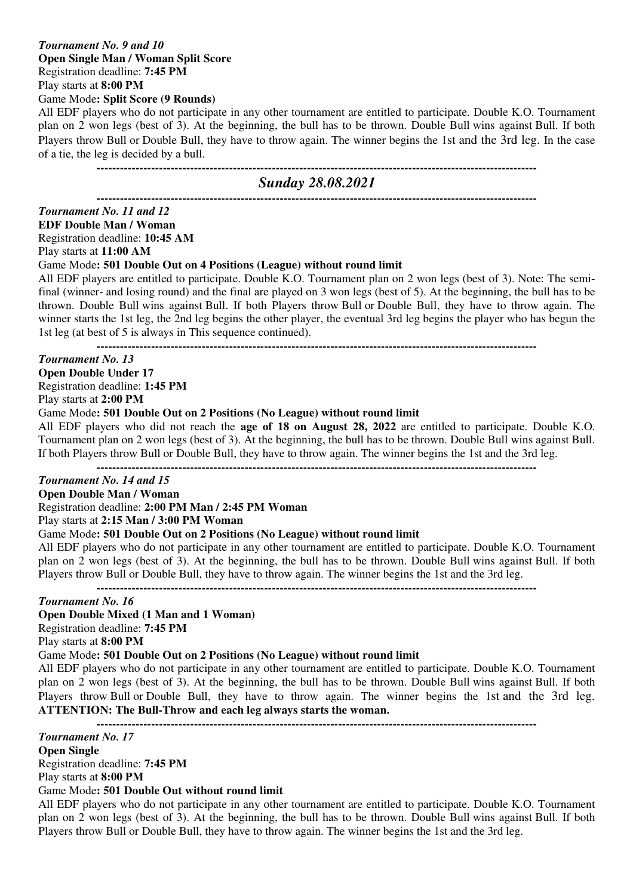## *Tournament No. 9 and 10*  **Open Single Man / Woman Split Score**  Registration deadline: **7:45 PM**

Play starts at **8:00 PM**

Game Mode**: Split Score (9 Rounds)**

All EDF players who do not participate in any other tournament are entitled to participate. Double K.O. Tournament plan on 2 won legs (best of 3). At the beginning, the bull has to be thrown. Double Bull wins against Bull. If both Players throw Bull or Double Bull, they have to throw again. The winner begins the 1st and the 3rd leg. In the case of a tie, the leg is decided by a bull.

# **-----------------------------------------------------------------------------------------------------------------**

# *Sunday 28.08.2021*

**-----------------------------------------------------------------------------------------------------------------**  *Tournament No. 11 and 12*  **EDF Double Man / Woman**  Registration deadline: **10:45 AM** Play starts at **11:00 AM**

Game Mode**: 501 Double Out on 4 Positions (League) without round limit**

All EDF players are entitled to participate. Double K.O. Tournament plan on 2 won legs (best of 3). Note: The semifinal (winner- and losing round) and the final are played on 3 won legs (best of 5). At the beginning, the bull has to be thrown. Double Bull wins against Bull. If both Players throw Bull or Double Bull, they have to throw again. The winner starts the 1st leg, the 2nd leg begins the other player, the eventual 3rd leg begins the player who has begun the 1st leg (at best of 5 is always in This sequence continued).

**-----------------------------------------------------------------------------------------------------------------** 

### *Tournament No. 13*

# **Open Double Under 17**

Registration deadline: **1:45 PM**

Play starts at **2:00 PM**

### Game Mode**: 501 Double Out on 2 Positions (No League) without round limit**

All EDF players who did not reach the **age of 18 on August 28, 2022** are entitled to participate. Double K.O. Tournament plan on 2 won legs (best of 3). At the beginning, the bull has to be thrown. Double Bull wins against Bull. If both Players throw Bull or Double Bull, they have to throw again. The winner begins the 1st and the 3rd leg.

**-----------------------------------------------------------------------------------------------------------------** 

# *Tournament No. 14 and 15*

# **Open Double Man / Woman**

Registration deadline: **2:00 PM Man / 2:45 PM Woman**

Play starts at **2:15 Man / 3:00 PM Woman** 

### Game Mode**: 501 Double Out on 2 Positions (No League) without round limit**

All EDF players who do not participate in any other tournament are entitled to participate. Double K.O. Tournament plan on 2 won legs (best of 3). At the beginning, the bull has to be thrown. Double Bull wins against Bull. If both Players throw Bull or Double Bull, they have to throw again. The winner begins the 1st and the 3rd leg.

**-----------------------------------------------------------------------------------------------------------------** 

### *Tournament No. 16*

### **Open Double Mixed (1 Man and 1 Woman)**

Registration deadline: **7:45 PM**

Play starts at **8:00 PM**

#### Game Mode**: 501 Double Out on 2 Positions (No League) without round limit**

All EDF players who do not participate in any other tournament are entitled to participate. Double K.O. Tournament plan on 2 won legs (best of 3). At the beginning, the bull has to be thrown. Double Bull wins against Bull. If both Players throw Bull or Double Bull, they have to throw again. The winner begins the 1st and the 3rd leg. **ATTENTION: The Bull-Throw and each leg always starts the woman.** 

**-----------------------------------------------------------------------------------------------------------------** 

*Tournament No. 17* 

**Open Single** 

Registration deadline: **7:45 PM**

Play starts at **8:00 PM**

### Game Mode**: 501 Double Out without round limit**

All EDF players who do not participate in any other tournament are entitled to participate. Double K.O. Tournament plan on 2 won legs (best of 3). At the beginning, the bull has to be thrown. Double Bull wins against Bull. If both Players throw Bull or Double Bull, they have to throw again. The winner begins the 1st and the 3rd leg.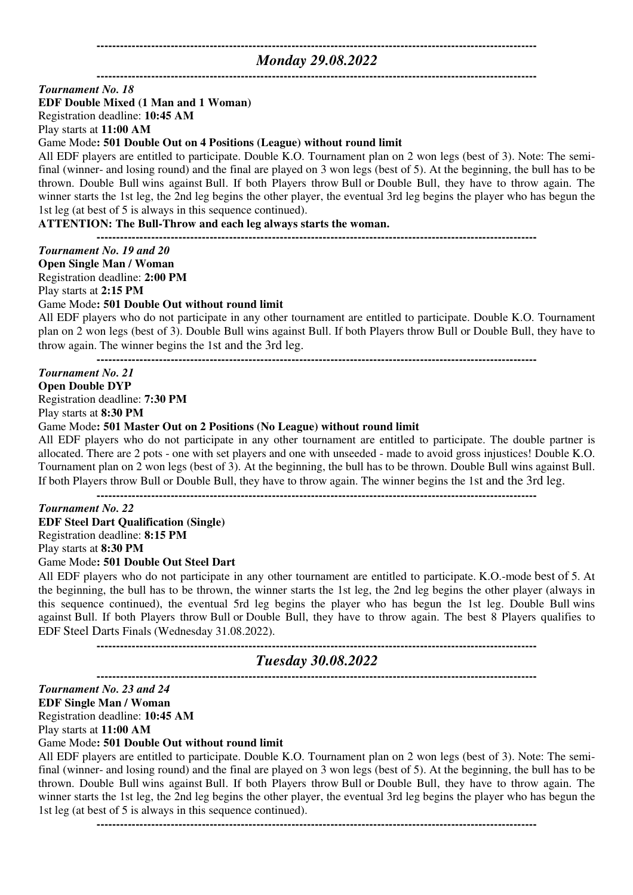### **-----------------------------------------------------------------------------------------------------------------**  *Monday 29.08.2022*

**-----------------------------------------------------------------------------------------------------------------** 

#### *Tournament No. 18*

### **EDF Double Mixed (1 Man and 1 Woman)**

Registration deadline: **10:45 AM**

Play starts at **11:00 AM**

Game Mode**: 501 Double Out on 4 Positions (League) without round limit**

All EDF players are entitled to participate. Double K.O. Tournament plan on 2 won legs (best of 3). Note: The semifinal (winner- and losing round) and the final are played on 3 won legs (best of 5). At the beginning, the bull has to be thrown. Double Bull wins against Bull. If both Players throw Bull or Double Bull, they have to throw again. The winner starts the 1st leg, the 2nd leg begins the other player, the eventual 3rd leg begins the player who has begun the 1st leg (at best of 5 is always in this sequence continued).

#### **ATTENTION: The Bull-Throw and each leg always starts the woman.**

**-----------------------------------------------------------------------------------------------------------------** 

*Tournament No. 19 and 20*  **Open Single Man / Woman** 

Registration deadline: **2:00 PM**

Play starts at **2:15 PM**

Game Mode**: 501 Double Out without round limit**

All EDF players who do not participate in any other tournament are entitled to participate. Double K.O. Tournament plan on 2 won legs (best of 3). Double Bull wins against Bull. If both Players throw Bull or Double Bull, they have to throw again. The winner begins the 1st and the 3rd leg.

**-----------------------------------------------------------------------------------------------------------------** 

# *Tournament No. 21*

## **Open Double DYP**

Registration deadline: **7:30 PM**

Play starts at **8:30 PM**

Game Mode**: 501 Master Out on 2 Positions (No League) without round limit**

All EDF players who do not participate in any other tournament are entitled to participate. The double partner is allocated. There are 2 pots - one with set players and one with unseeded - made to avoid gross injustices! Double K.O. Tournament plan on 2 won legs (best of 3). At the beginning, the bull has to be thrown. Double Bull wins against Bull. If both Players throw Bull or Double Bull, they have to throw again. The winner begins the 1st and the 3rd leg.

**-----------------------------------------------------------------------------------------------------------------** 

## *Tournament No. 22*  **EDF Steel Dart Qualification (Single)**  Registration deadline: **8:15 PM** Play starts at **8:30 PM**

Game Mode**: 501 Double Out Steel Dart**

All EDF players who do not participate in any other tournament are entitled to participate. K.O.-mode best of 5. At the beginning, the bull has to be thrown, the winner starts the 1st leg, the 2nd leg begins the other player (always in this sequence continued), the eventual 5rd leg begins the player who has begun the 1st leg. Double Bull wins against Bull. If both Players throw Bull or Double Bull, they have to throw again. The best 8 Players qualifies to EDF Steel Darts Finals (Wednesday 31.08.2022).

**-----------------------------------------------------------------------------------------------------------------** 

## *Tuesday 30.08.2022*

**-----------------------------------------------------------------------------------------------------------------** 

#### *Tournament No. 23 and 24*

**EDF Single Man / Woman** 

Registration deadline: **10:45 AM** Play starts at **11:00 AM**

### Game Mode**: 501 Double Out without round limit**

All EDF players are entitled to participate. Double K.O. Tournament plan on 2 won legs (best of 3). Note: The semifinal (winner- and losing round) and the final are played on 3 won legs (best of 5). At the beginning, the bull has to be thrown. Double Bull wins against Bull. If both Players throw Bull or Double Bull, they have to throw again. The winner starts the 1st leg, the 2nd leg begins the other player, the eventual 3rd leg begins the player who has begun the 1st leg (at best of 5 is always in this sequence continued).

**-----------------------------------------------------------------------------------------------------------------**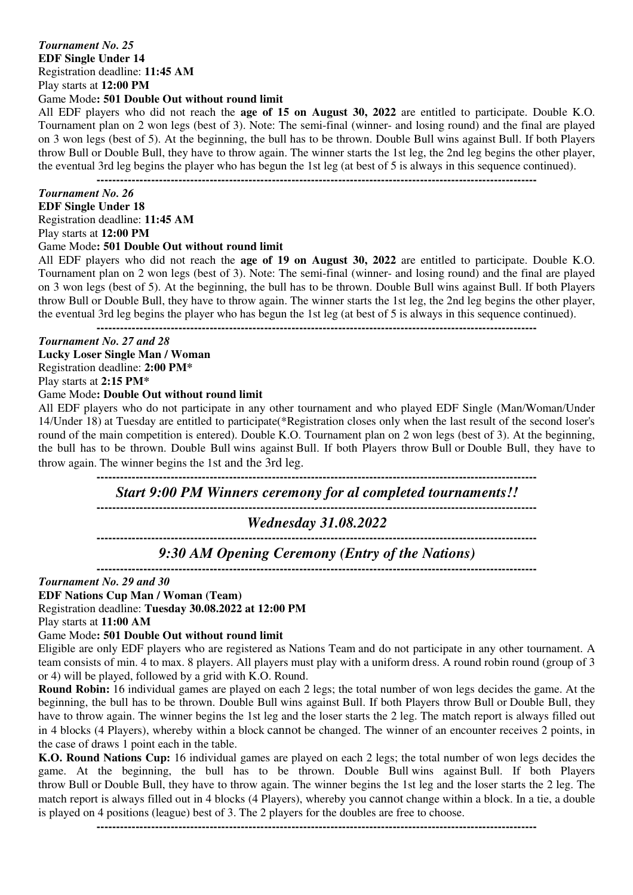## *Tournament No. 25*  **EDF Single Under 14**  Registration deadline: **11:45 AM** Play starts at **12:00 PM**

### Game Mode**: 501 Double Out without round limit**

All EDF players who did not reach the **age of 15 on August 30, 2022** are entitled to participate. Double K.O. Tournament plan on 2 won legs (best of 3). Note: The semi-final (winner- and losing round) and the final are played on 3 won legs (best of 5). At the beginning, the bull has to be thrown. Double Bull wins against Bull. If both Players throw Bull or Double Bull, they have to throw again. The winner starts the 1st leg, the 2nd leg begins the other player, the eventual 3rd leg begins the player who has begun the 1st leg (at best of 5 is always in this sequence continued).

**-----------------------------------------------------------------------------------------------------------------** 

### *Tournament No. 26*

# **EDF Single Under 18**

Registration deadline: **11:45 AM**

Play starts at **12:00 PM**

#### Game Mode**: 501 Double Out without round limit**

All EDF players who did not reach the **age of 19 on August 30, 2022** are entitled to participate. Double K.O. Tournament plan on 2 won legs (best of 3). Note: The semi-final (winner- and losing round) and the final are played on 3 won legs (best of 5). At the beginning, the bull has to be thrown. Double Bull wins against Bull. If both Players throw Bull or Double Bull, they have to throw again. The winner starts the 1st leg, the 2nd leg begins the other player, the eventual 3rd leg begins the player who has begun the 1st leg (at best of 5 is always in this sequence continued).

**-----------------------------------------------------------------------------------------------------------------** 

### *Tournament No. 27 and 28*

**Lucky Loser Single Man / Woman**  Registration deadline: **2:00 PM\*** Play starts at **2:15 PM\***

# Game Mode**: Double Out without round limit**

All EDF players who do not participate in any other tournament and who played EDF Single (Man/Woman/Under 14/Under 18) at Tuesday are entitled to participate(\*Registration closes only when the last result of the second loser's round of the main competition is entered). Double K.O. Tournament plan on 2 won legs (best of 3). At the beginning, the bull has to be thrown. Double Bull wins against Bull. If both Players throw Bull or Double Bull, they have to throw again. The winner begins the 1st and the 3rd leg.

**-----------------------------------------------------------------------------------------------------------------** 

### *Start 9:00 PM Winners ceremony for al completed tournaments!!*

**-----------------------------------------------------------------------------------------------------------------** 

*Wednesday 31.08.2022*  **-----------------------------------------------------------------------------------------------------------------** 

*9:30 AM Opening Ceremony (Entry of the Nations)* 

**-----------------------------------------------------------------------------------------------------------------** 

#### *Tournament No. 29 and 30*

**EDF Nations Cup Man / Woman (Team)** 

Registration deadline: **Tuesday 30.08.2022 at 12:00 PM**

Play starts at **11:00 AM**

#### Game Mode**: 501 Double Out without round limit**

Eligible are only EDF players who are registered as Nations Team and do not participate in any other tournament. A team consists of min. 4 to max. 8 players. All players must play with a uniform dress. A round robin round (group of 3 or 4) will be played, followed by a grid with K.O. Round.

**Round Robin:** 16 individual games are played on each 2 legs; the total number of won legs decides the game. At the beginning, the bull has to be thrown. Double Bull wins against Bull. If both Players throw Bull or Double Bull, they have to throw again. The winner begins the 1st leg and the loser starts the 2 leg. The match report is always filled out in 4 blocks (4 Players), whereby within a block cannot be changed. The winner of an encounter receives 2 points, in the case of draws 1 point each in the table.

**K.O. Round Nations Cup:** 16 individual games are played on each 2 legs; the total number of won legs decides the game. At the beginning, the bull has to be thrown. Double Bull wins against Bull. If both Players throw Bull or Double Bull, they have to throw again. The winner begins the 1st leg and the loser starts the 2 leg. The match report is always filled out in 4 blocks (4 Players), whereby you cannot change within a block. In a tie, a double is played on 4 positions (league) best of 3. The 2 players for the doubles are free to choose.

**-----------------------------------------------------------------------------------------------------------------**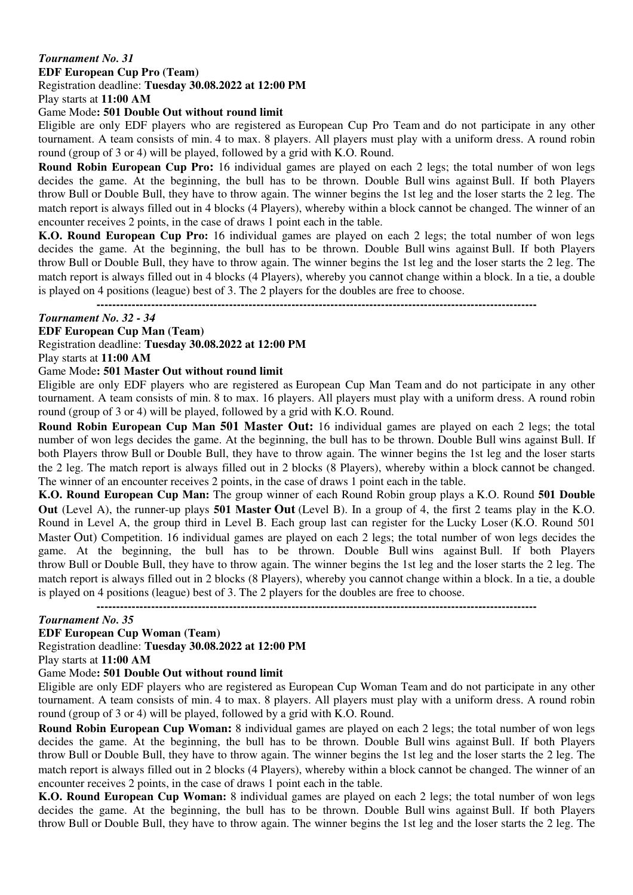### *Tournament No. 31*

**EDF European Cup Pro (Team)** 

Registration deadline: **Tuesday 30.08.2022 at 12:00 PM**

Play starts at **11:00 AM**

### Game Mode**: 501 Double Out without round limit**

Eligible are only EDF players who are registered as European Cup Pro Team and do not participate in any other tournament. A team consists of min. 4 to max. 8 players. All players must play with a uniform dress. A round robin round (group of 3 or 4) will be played, followed by a grid with K.O. Round.

**Round Robin European Cup Pro:** 16 individual games are played on each 2 legs; the total number of won legs decides the game. At the beginning, the bull has to be thrown. Double Bull wins against Bull. If both Players throw Bull or Double Bull, they have to throw again. The winner begins the 1st leg and the loser starts the 2 leg. The match report is always filled out in 4 blocks (4 Players), whereby within a block cannot be changed. The winner of an encounter receives 2 points, in the case of draws 1 point each in the table.

**K.O. Round European Cup Pro:** 16 individual games are played on each 2 legs; the total number of won legs decides the game. At the beginning, the bull has to be thrown. Double Bull wins against Bull. If both Players throw Bull or Double Bull, they have to throw again. The winner begins the 1st leg and the loser starts the 2 leg. The match report is always filled out in 4 blocks (4 Players), whereby you cannot change within a block. In a tie, a double is played on 4 positions (league) best of 3. The 2 players for the doubles are free to choose.

**-----------------------------------------------------------------------------------------------------------------** 

#### *Tournament No. 32 - 34*

**EDF European Cup Man (Team)** 

Registration deadline: **Tuesday 30.08.2022 at 12:00 PM**

Play starts at **11:00 AM**

### Game Mode**: 501 Master Out without round limit**

Eligible are only EDF players who are registered as European Cup Man Team and do not participate in any other tournament. A team consists of min. 8 to max. 16 players. All players must play with a uniform dress. A round robin round (group of 3 or 4) will be played, followed by a grid with K.O. Round.

**Round Robin European Cup Man 501 Master Out:** 16 individual games are played on each 2 legs; the total number of won legs decides the game. At the beginning, the bull has to be thrown. Double Bull wins against Bull. If both Players throw Bull or Double Bull, they have to throw again. The winner begins the 1st leg and the loser starts the 2 leg. The match report is always filled out in 2 blocks (8 Players), whereby within a block cannot be changed. The winner of an encounter receives 2 points, in the case of draws 1 point each in the table.

**K.O. Round European Cup Man:** The group winner of each Round Robin group plays a K.O. Round **501 Double Out** (Level A), the runner-up plays **501 Master Out** (Level B). In a group of 4, the first 2 teams play in the K.O. Round in Level A, the group third in Level B. Each group last can register for the Lucky Loser (K.O. Round 501 Master Out) Competition. 16 individual games are played on each 2 legs; the total number of won legs decides the game. At the beginning, the bull has to be thrown. Double Bull wins against Bull. If both Players throw Bull or Double Bull, they have to throw again. The winner begins the 1st leg and the loser starts the 2 leg. The match report is always filled out in 2 blocks (8 Players), whereby you cannot change within a block. In a tie, a double is played on 4 positions (league) best of 3. The 2 players for the doubles are free to choose.

**-----------------------------------------------------------------------------------------------------------------** 

### *Tournament No. 35*

**EDF European Cup Woman (Team)** 

Registration deadline: **Tuesday 30.08.2022 at 12:00 PM**

Play starts at **11:00 AM**

#### Game Mode**: 501 Double Out without round limit**

Eligible are only EDF players who are registered as European Cup Woman Team and do not participate in any other tournament. A team consists of min. 4 to max. 8 players. All players must play with a uniform dress. A round robin round (group of 3 or 4) will be played, followed by a grid with K.O. Round.

**Round Robin European Cup Woman:** 8 individual games are played on each 2 legs; the total number of won legs decides the game. At the beginning, the bull has to be thrown. Double Bull wins against Bull. If both Players throw Bull or Double Bull, they have to throw again. The winner begins the 1st leg and the loser starts the 2 leg. The match report is always filled out in 2 blocks (4 Players), whereby within a block cannot be changed. The winner of an encounter receives 2 points, in the case of draws 1 point each in the table.

**K.O. Round European Cup Woman:** 8 individual games are played on each 2 legs; the total number of won legs decides the game. At the beginning, the bull has to be thrown. Double Bull wins against Bull. If both Players throw Bull or Double Bull, they have to throw again. The winner begins the 1st leg and the loser starts the 2 leg. The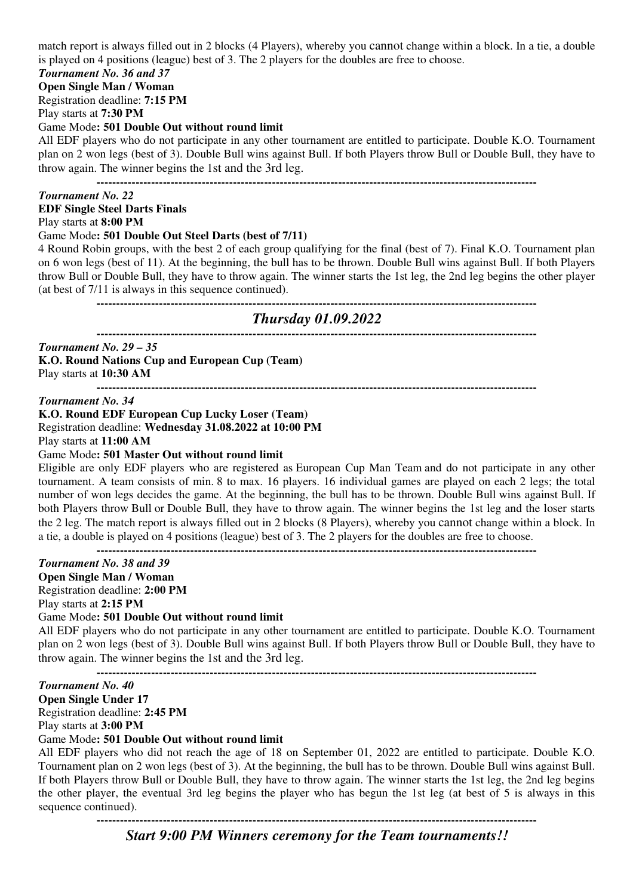match report is always filled out in 2 blocks (4 Players), whereby you cannot change within a block. In a tie, a double is played on 4 positions (league) best of 3. The 2 players for the doubles are free to choose.

# *Tournament No. 36 and 37*

# **Open Single Man / Woman**

Registration deadline: **7:15 PM**

Play starts at **7:30 PM**

## Game Mode**: 501 Double Out without round limit**

All EDF players who do not participate in any other tournament are entitled to participate. Double K.O. Tournament plan on 2 won legs (best of 3). Double Bull wins against Bull. If both Players throw Bull or Double Bull, they have to throw again. The winner begins the 1st and the 3rd leg.

**-----------------------------------------------------------------------------------------------------------------** 

### *Tournament No. 22*

### **EDF Single Steel Darts Finals**

Play starts at **8:00 PM**

#### Game Mode**: 501 Double Out Steel Darts (best of 7/11)**

4 Round Robin groups, with the best 2 of each group qualifying for the final (best of 7). Final K.O. Tournament plan on 6 won legs (best of 11). At the beginning, the bull has to be thrown. Double Bull wins against Bull. If both Players throw Bull or Double Bull, they have to throw again. The winner starts the 1st leg, the 2nd leg begins the other player (at best of 7/11 is always in this sequence continued).

**-----------------------------------------------------------------------------------------------------------------** 

#### *Thursday 01.09.2022*  **-----------------------------------------------------------------------------------------------------------------**

*Tournament No. 29 – 35*  **K.O. Round Nations Cup and European Cup (Team)**

Play starts at **10:30 AM**

**-----------------------------------------------------------------------------------------------------------------** 

*Tournament No. 34* 

# **K.O. Round EDF European Cup Lucky Loser (Team)**  Registration deadline: **Wednesday 31.08.2022 at 10:00 PM**

Play starts at **11:00 AM**

## Game Mode**: 501 Master Out without round limit**

Eligible are only EDF players who are registered as European Cup Man Team and do not participate in any other tournament. A team consists of min. 8 to max. 16 players. 16 individual games are played on each 2 legs; the total number of won legs decides the game. At the beginning, the bull has to be thrown. Double Bull wins against Bull. If both Players throw Bull or Double Bull, they have to throw again. The winner begins the 1st leg and the loser starts the 2 leg. The match report is always filled out in 2 blocks (8 Players), whereby you cannot change within a block. In a tie, a double is played on 4 positions (league) best of 3. The 2 players for the doubles are free to choose.

**-----------------------------------------------------------------------------------------------------------------** 

### *Tournament No. 38 and 39*

**Open Single Man / Woman**  Registration deadline: **2:00 PM**

Play starts at **2:15 PM**

### Game Mode**: 501 Double Out without round limit**

All EDF players who do not participate in any other tournament are entitled to participate. Double K.O. Tournament plan on 2 won legs (best of 3). Double Bull wins against Bull. If both Players throw Bull or Double Bull, they have to throw again. The winner begins the 1st and the 3rd leg.

**-----------------------------------------------------------------------------------------------------------------** 

### *Tournament No. 40*

**Open Single Under 17**  Registration deadline: **2:45 PM** Play starts at **3:00 PM**

## Game Mode**: 501 Double Out without round limit**

All EDF players who did not reach the age of 18 on September 01, 2022 are entitled to participate. Double K.O. Tournament plan on 2 won legs (best of 3). At the beginning, the bull has to be thrown. Double Bull wins against Bull. If both Players throw Bull or Double Bull, they have to throw again. The winner starts the 1st leg, the 2nd leg begins the other player, the eventual 3rd leg begins the player who has begun the 1st leg (at best of 5 is always in this sequence continued).

**-----------------------------------------------------------------------------------------------------------------** 

*Start 9:00 PM Winners ceremony for the Team tournaments!!*